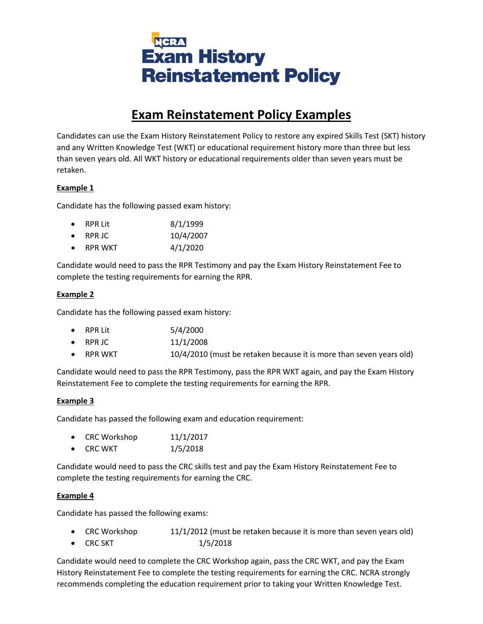

# **Exam Reinstatement Policy Examples**

Candidates can use the Exam History Reinstatement Policy to restore any expired Skills Test (SKT) history and any Written Knowledge Test (WKT) or educational requirement history more than three but less than seven years old. All WKT history or educational requirements older than seven years must be retaken.

## **Example 1**

Candidate has the following passed exam history:

| <b>RPR Lit</b> | 8/1/1999 |
|----------------|----------|
|                |          |

- RPR JC 10/4/2007
- RPR WKT 4/1/2020

Candidate would need to pass the RPR Testimony and pay the Exam History Reinstatement Fee to complete the testing requirements for earning the RPR.

## **Example 2**

Candidate has the following passed exam history:

|  | <b>RPR Lit</b> | 5/4/2000 |
|--|----------------|----------|
|--|----------------|----------|

- RPR JC 11/1/2008
- RPR WKT 10/4/2010 (must be retaken because it is more than seven years old)

Candidate would need to pass the RPR Testimony, pass the RPR WKT again, and pay the Exam History Reinstatement Fee to complete the testing requirements for earning the RPR.

#### **Example 3**

Candidate has passed the following exam and education requirement:

- CRC Workshop 11/1/2017
- CRC WKT 1/5/2018

Candidate would need to pass the CRC skills test and pay the Exam History Reinstatement Fee to complete the testing requirements for earning the CRC.

#### **Example 4**

Candidate has passed the following exams:

- CRC Workshop 11/1/2012 (must be retaken because it is more than seven years old)
- CRC SKT 1/5/2018

Candidate would need to complete the CRC Workshop again, pass the CRC WKT, and pay the Exam History Reinstatement Fee to complete the testing requirements for earning the CRC. NCRA strongly recommends completing the education requirement prior to taking your Written Knowledge Test.